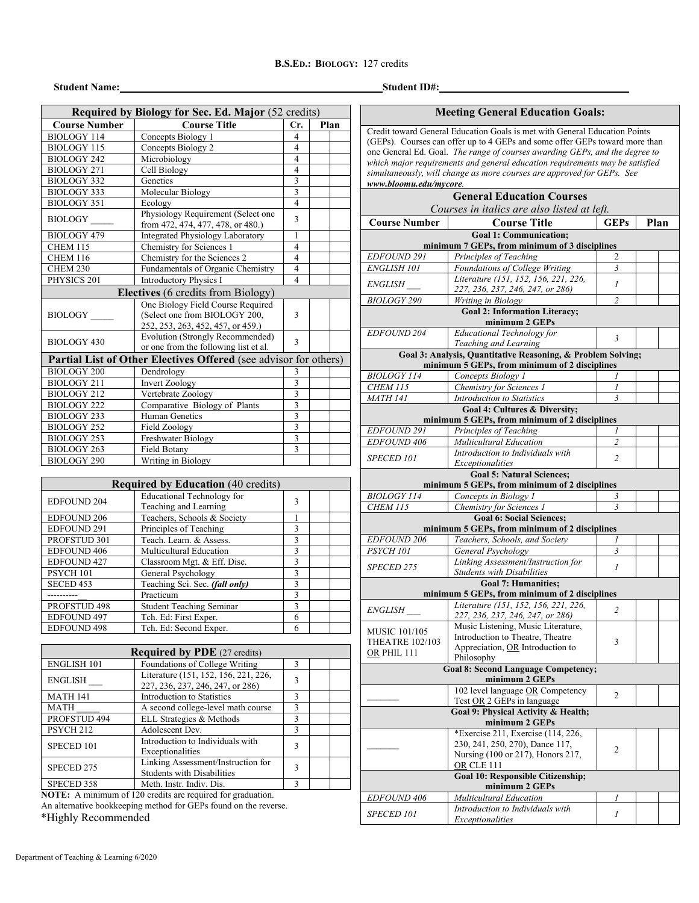## **B.S.ED.: BIOLOGY:** 127 credits

## **Student Name: Student ID#:**

| <b>Meeting General Education Goals:</b> |  |  |
|-----------------------------------------|--|--|
|-----------------------------------------|--|--|

Credit toward General Education Goals is met with General Education Points (GEPs). Courses can offer up to 4 GEPs and some offer GEPs toward more than one General Ed. Goal. *The range of courses awarding GEPs, and the degree to which major requirements and general education requirements may be satisfied simultaneously, will change as more courses are approved for GEPs. See www.bloomu.edu/mycore.*

|                                       | <b>General Education Courses</b>                                                          |                |      |
|---------------------------------------|-------------------------------------------------------------------------------------------|----------------|------|
|                                       | Courses in italics are also listed at left.                                               |                |      |
| <b>Course Number</b>                  | <b>Course Title</b>                                                                       | <b>GEPs</b>    | Plan |
|                                       | <b>Goal 1: Communication;</b>                                                             |                |      |
|                                       | minimum 7 GEPs, from minimum of 3 disciplines                                             |                |      |
| EDFOUND 291                           | Principles of Teaching                                                                    | 2              |      |
| ENGLISH 101                           | Foundations of College Writing<br>Literature (151, 152, 156, 221, 226,                    | $\mathfrak{Z}$ |      |
| <i>ENGLISH</i>                        | 227, 236, 237, 246, 247, or 286)                                                          | 1              |      |
| <b>BIOLOGY 290</b>                    | Writing in Biology                                                                        | $\overline{c}$ |      |
|                                       | <b>Goal 2: Information Literacy;</b><br>minimum 2 GEPs                                    |                |      |
| <b>EDFOUND 204</b>                    | Educational Technology for<br>Teaching and Learning                                       | $\mathfrak{Z}$ |      |
|                                       | Goal 3: Analysis, Quantitative Reasoning, & Problem Solving;                              |                |      |
|                                       | minimum 5 GEPs, from minimum of 2 disciplines                                             |                |      |
| <b>BIOLOGY 114</b>                    | Concepts Biology 1                                                                        |                |      |
| <b>CHEM 115</b>                       | Chemistry for Sciences 1                                                                  | 1              |      |
| <b>MATH 141</b>                       | <b>Introduction to Statistics</b>                                                         | 3              |      |
|                                       | <b>Goal 4: Cultures &amp; Diversity;</b><br>minimum 5 GEPs, from minimum of 2 disciplines |                |      |
| EDFOUND 291                           | Principles of Teaching                                                                    |                |      |
| <b>EDFOUND 406</b>                    | Multicultural Education                                                                   | $\overline{2}$ |      |
|                                       | Introduction to Individuals with                                                          |                |      |
| <b>SPECED 101</b>                     | Exceptionalities                                                                          | $\overline{2}$ |      |
|                                       | <b>Goal 5: Natural Sciences;</b>                                                          |                |      |
|                                       | minimum 5 GEPs, from minimum of 2 disciplines                                             |                |      |
| <b>BIOLOGY 114</b><br><b>CHEM 115</b> | Concepts in Biology 1<br>Chemistry for Sciences 1                                         | 3<br>3         |      |
|                                       | <b>Goal 6: Social Sciences:</b>                                                           |                |      |
|                                       | minimum 5 GEPs, from minimum of 2 disciplines                                             |                |      |
| <b>EDFOUND 206</b>                    | Teachers, Schools, and Society                                                            | 1              |      |
| PSYCH <sub>101</sub>                  | General Psychology                                                                        | $\overline{3}$ |      |
| <i>SPECED 275</i>                     | Linking Assessment/Instruction for                                                        | 1              |      |
|                                       | <b>Students with Disabilities</b>                                                         |                |      |
|                                       | <b>Goal 7: Humanities:</b>                                                                |                |      |
|                                       | minimum 5 GEPs, from minimum of 2 disciplines<br>Literature (151, 152, 156, 221, 226,     |                |      |
| <i>ENGLISH</i>                        | 227, 236, 237, 246, 247, or 286)                                                          | $\overline{c}$ |      |
| <b>MUSIC 101/105</b>                  | Music Listening, Music Literature,                                                        |                |      |
| <b>THEATRE 102/103</b>                | Introduction to Theatre, Theatre                                                          | 3              |      |
| OR PHIL 111                           | Appreciation, OR Introduction to                                                          |                |      |
|                                       | Philosophy<br><b>Goal 8: Second Language Competency;</b>                                  |                |      |
|                                       | minimum 2 GEPs                                                                            |                |      |
|                                       | 102 level language OR Competency                                                          |                |      |
|                                       | Test OR 2 GEPs in language                                                                | 2              |      |
|                                       | Goal 9: Physical Activity & Health;<br>minimum 2 GEPs                                     |                |      |
|                                       | *Exercise 211, Exercise (114, 226,                                                        |                |      |
|                                       | 230, 241, 250, 270), Dance 117,                                                           | 2              |      |
|                                       | Nursing (100 or 217), Honors 217,<br>OR CLE 111                                           |                |      |
|                                       | Goal 10: Responsible Citizenship;                                                         |                |      |
|                                       | minimum 2 GEPs                                                                            |                |      |
| <i>EDFOUND 406</i>                    | Multicultural Education                                                                   | 1              |      |
| <b>SPECED 101</b>                     | Introduction to Individuals with                                                          | 1              |      |
|                                       | Exceptionalities                                                                          |                |      |

| Required by Biology for Sec. Ed. Major (52 credits) |                                                                                                         |                         |  |      |  |
|-----------------------------------------------------|---------------------------------------------------------------------------------------------------------|-------------------------|--|------|--|
| <b>Course Number</b>                                | <b>Course Title</b>                                                                                     | Cr.                     |  | Plan |  |
| <b>BIOLOGY 114</b>                                  | Concepts Biology 1                                                                                      | $\overline{4}$          |  |      |  |
| <b>BIOLOGY 115</b>                                  | Concepts Biology 2                                                                                      | $\overline{4}$          |  |      |  |
| <b>BIOLOGY 242</b>                                  | Microbiology                                                                                            | $\overline{4}$          |  |      |  |
| <b>BIOLOGY 271</b>                                  | Cell Biology                                                                                            | $\overline{4}$          |  |      |  |
| <b>BIOLOGY 332</b>                                  | Genetics                                                                                                | $\overline{3}$          |  |      |  |
| BIOLOGY 333                                         | Molecular Biology                                                                                       | 3                       |  |      |  |
| <b>BIOLOGY 351</b>                                  | Ecology                                                                                                 | $\overline{4}$          |  |      |  |
| <b>BIOLOGY</b>                                      | Physiology Requirement (Select one<br>from 472, 474, 477, 478, or 480.)                                 | 3                       |  |      |  |
| <b>BIOLOGY 479</b>                                  | Integrated Physiology Laboratory                                                                        | 1                       |  |      |  |
| <b>CHEM 115</b>                                     | Chemistry for Sciences 1                                                                                | $\overline{4}$          |  |      |  |
| <b>CHEM 116</b>                                     | Chemistry for the Sciences 2                                                                            | $\overline{4}$          |  |      |  |
| CHEM 230                                            | Fundamentals of Organic Chemistry                                                                       | $\overline{4}$          |  |      |  |
| PHYSICS 201                                         | <b>Introductory Physics I</b>                                                                           | $\overline{4}$          |  |      |  |
|                                                     | Electives (6 credits from Biology)                                                                      |                         |  |      |  |
| BIOLOGY                                             | One Biology Field Course Required<br>(Select one from BIOLOGY 200,<br>252, 253, 263, 452, 457, or 459.) | 3                       |  |      |  |
| BIOLOGY 430                                         | Evolution (Strongly Recommended)<br>or one from the following list et al.                               | 3                       |  |      |  |
|                                                     | Partial List of Other Electives Offered (see advisor for others)                                        |                         |  |      |  |
| <b>BIOLOGY 200</b>                                  | Dendrology                                                                                              | 3                       |  |      |  |
| <b>BIOLOGY 211</b>                                  | <b>Invert Zoology</b>                                                                                   | $\overline{\mathbf{3}}$ |  |      |  |
| <b>BIOLOGY 212</b>                                  | Vertebrate Zoology                                                                                      | $\overline{\mathbf{3}}$ |  |      |  |
| <b>BIOLOGY 222</b>                                  | Comparative Biology of Plants                                                                           | 3                       |  |      |  |
| <b>BIOLOGY 233</b>                                  | Human Genetics                                                                                          | 3                       |  |      |  |
| <b>BIOLOGY 252</b>                                  | Field Zoology                                                                                           | $\overline{\mathbf{3}}$ |  |      |  |
| <b>BIOLOGY 253</b>                                  | Freshwater Biology                                                                                      | $\overline{3}$          |  |      |  |
| <b>BIOLOGY 263</b>                                  | Field Botany                                                                                            | 3                       |  |      |  |
| <b>BIOLOGY 290</b>                                  | Writing in Biology                                                                                      |                         |  |      |  |
|                                                     | <b>Required by Education (40 credits)</b>                                                               |                         |  |      |  |

| <b>EDFOUND 204</b>   | <b>Educational Technology for</b><br>Teaching and Learning | 3 |  |
|----------------------|------------------------------------------------------------|---|--|
| <b>EDFOUND 206</b>   | Teachers, Schools & Society                                |   |  |
| <b>EDFOUND 291</b>   | Principles of Teaching                                     | ٩ |  |
| PROFSTUD 301         | Teach. Learn. & Assess.                                    | 3 |  |
| EDFOUND 406          | Multicultural Education                                    | 3 |  |
| <b>EDFOUND 427</b>   | Classroom Mgt. & Eff. Disc.                                | ٩ |  |
| PSYCH 101            | General Psychology                                         | 3 |  |
| SECED <sub>453</sub> | Teaching Sci. Sec. (fall only)                             | ٩ |  |
|                      | Practicum                                                  | 3 |  |
| PROFSTUD 498         | <b>Student Teaching Seminar</b>                            | 3 |  |
| EDFOUND 497          | Tch. Ed: First Exper.                                      | 6 |  |
| <b>EDFOUND 498</b>   | Tch. Ed: Second Exper.                                     | 6 |  |

| <b>Required by PDE</b> (27 credits) |                                                                           |              |  |  |  |
|-------------------------------------|---------------------------------------------------------------------------|--------------|--|--|--|
| <b>ENGLISH 101</b>                  | Foundations of College Writing                                            | 3            |  |  |  |
| <b>ENGLISH</b>                      | Literature (151, 152, 156, 221, 226,<br>227, 236, 237, 246, 247, or 286)  | 3            |  |  |  |
| <b>MATH 141</b>                     | Introduction to Statistics                                                | 3            |  |  |  |
| <b>MATH</b>                         | A second college-level math course                                        | $\mathbf{3}$ |  |  |  |
| PROFSTUD 494                        | ELL Strategies & Methods                                                  | 3            |  |  |  |
| PSYCH <sub>212</sub>                | Adolescent Dev.                                                           | 3            |  |  |  |
| SPECED 101                          | Introduction to Individuals with<br>Exceptionalities                      | 3            |  |  |  |
| SPECED 275                          | Linking Assessment/Instruction for<br><b>Students with Disabilities</b>   | ٦            |  |  |  |
| SPECED 358                          | Meth. Instr. Indiv. Dis.                                                  | 3            |  |  |  |
|                                     | $MOTF$ , $\Lambda$ activities of 120 and the comparison for an activities |              |  |  |  |

**NOTE:** A minimum of 120 credits are required for graduation. An alternative bookkeeping method for GEPs found on the reverse. \*Highly Recommended